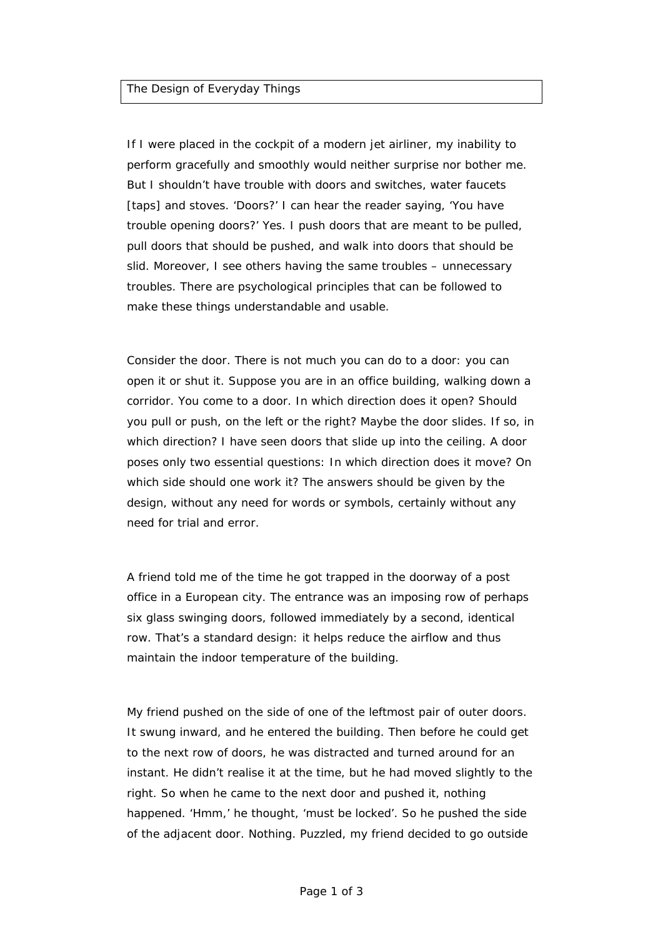If I were placed in the cockpit of a modern jet airliner, my inability to perform gracefully and smoothly would neither surprise nor bother me. But I shouldn't have trouble with doors and switches, water faucets [taps] and stoves. 'Doors?' I can hear the reader saying, 'You have trouble opening doors?' Yes. I push doors that are meant to be pulled, pull doors that should be pushed, and walk into doors that should be slid. Moreover, I see others having the same troubles – unnecessary troubles. There are psychological principles that can be followed to make these things understandable and usable.

Consider the door. There is not much you can do to a door: you can open it or shut it. Suppose you are in an office building, walking down a corridor. You come to a door. In which direction does it open? Should you pull or push, on the left or the right? Maybe the door slides. If so, in which direction? I have seen doors that slide up into the ceiling. A door poses only two essential questions: In which direction does it move? On which side should one work it? The answers should be given by the design, without any need for words or symbols, certainly without any need for trial and error.

A friend told me of the time he got trapped in the doorway of a post office in a European city. The entrance was an imposing row of perhaps six glass swinging doors, followed immediately by a second, identical row. That's a standard design: it helps reduce the airflow and thus maintain the indoor temperature of the building.

My friend pushed on the side of one of the leftmost pair of outer doors. It swung inward, and he entered the building. Then before he could get to the next row of doors, he was distracted and turned around for an instant. He didn't realise it at the time, but he had moved slightly to the right. So when he came to the next door and pushed it, nothing happened. 'Hmm,' he thought, 'must be locked'. So he pushed the side of the adjacent door. Nothing. Puzzled, my friend decided to go outside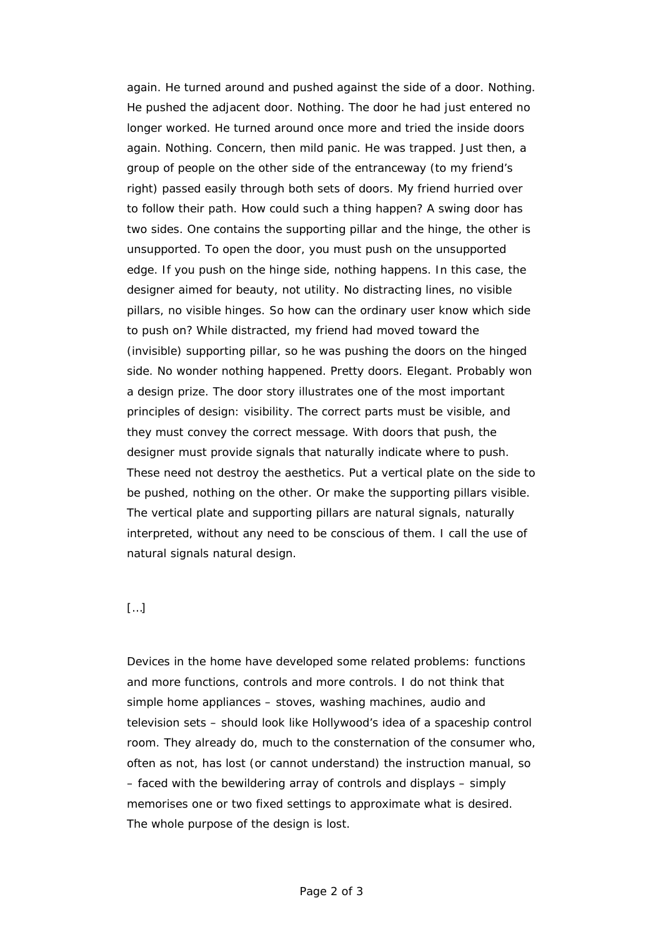again. He turned around and pushed against the side of a door. Nothing. He pushed the adjacent door. Nothing. The door he had just entered no longer worked. He turned around once more and tried the inside doors again. Nothing. Concern, then mild panic. He was trapped. Just then, a group of people on the other side of the entranceway (to my friend's right) passed easily through both sets of doors. My friend hurried over to follow their path. How could such a thing happen? A swing door has two sides. One contains the supporting pillar and the hinge, the other is unsupported. To open the door, you must push on the unsupported edge. If you push on the hinge side, nothing happens. In this case, the designer aimed for beauty, not utility. No distracting lines, no visible pillars, no visible hinges. So how can the ordinary user know which side to push on? While distracted, my friend had moved toward the (invisible) supporting pillar, so he was pushing the doors on the hinged side. No wonder nothing happened. Pretty doors. Elegant. Probably won a design prize. The door story illustrates one of the most important principles of design: visibility. The correct parts must be visible, and they must convey the correct message. With doors that push, the designer must provide signals that naturally indicate where to push. These need not destroy the aesthetics. Put a vertical plate on the side to be pushed, nothing on the other. Or make the supporting pillars visible. The vertical plate and supporting pillars are natural signals, naturally interpreted, without any need to be conscious of them. I call the use of natural signals natural design.

## […]

Devices in the home have developed some related problems: functions and more functions, controls and more controls. I do not think that simple home appliances – stoves, washing machines, audio and television sets – should look like Hollywood's idea of a spaceship control room. They already do, much to the consternation of the consumer who, often as not, has lost (or cannot understand) the instruction manual, so – faced with the bewildering array of controls and displays – simply memorises one or two fixed settings to approximate what is desired. The whole purpose of the design is lost.